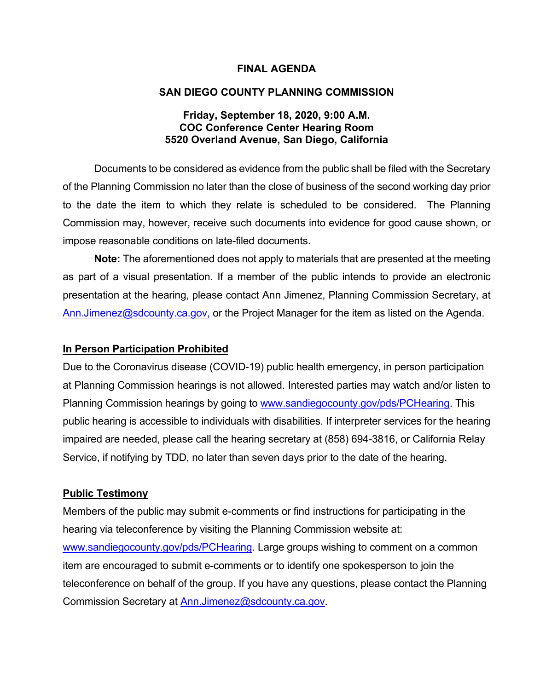#### **FINAL AGENDA**

#### **SAN DIEGO COUNTY PLANNING COMMISSION**

#### **Friday, September 18, 2020, 9:00 A.M. COC Conference Center Hearing Room 5520 Overland Avenue, San Diego, California**

Documents to be considered as evidence from the public shall be filed with the Secretary of the Planning Commission no later than the close of business of the second working day prior to the date the item to which they relate is scheduled to be considered. The Planning Commission may, however, receive such documents into evidence for good cause shown, or impose reasonable conditions on late-filed documents.

**Note:** The aforementioned does not apply to materials that are presented at the meeting as part of a visual presentation. If a member of the public intends to provide an electronic presentation at the hearing, please contact Ann Jimenez, Planning Commission Secretary, at [Ann.Jimenez@sdcounty.ca.gov,](mailto:Ann.Jimenez@sdcounty.ca.gov) or the Project Manager for the item as listed on the Agenda.

#### **In Person Participation Prohibited**

Due to the Coronavirus disease (COVID-19) public health emergency, in person participation at Planning Commission hearings is not allowed. Interested parties may watch and/or listen to Planning Commission hearings by going to [www.sandiegocounty.gov/pds/PCHearing.](http://www.sandiegocounty.gov/pds/PCHearing) This public hearing is accessible to individuals with disabilities. If interpreter services for the hearing impaired are needed, please call the hearing secretary at (858) 694-3816, or California Relay Service, if notifying by TDD, no later than seven days prior to the date of the hearing.

#### **Public Testimony**

Members of the public may submit e-comments or find instructions for participating in the hearing via teleconference by visiting the Planning Commission website at: [www.sandiegocounty.gov/pds/PCHearing.](http://www.sandiegocounty.gov/pds/PCHearing) Large groups wishing to comment on a common item are encouraged to submit e-comments or to identify one spokesperson to join the teleconference on behalf of the group. If you have any questions, please contact the Planning Commission Secretary at [Ann.Jimenez@sdcounty.ca.gov.](mailto:Ann.Jimenez@sdcounty.ca.gov)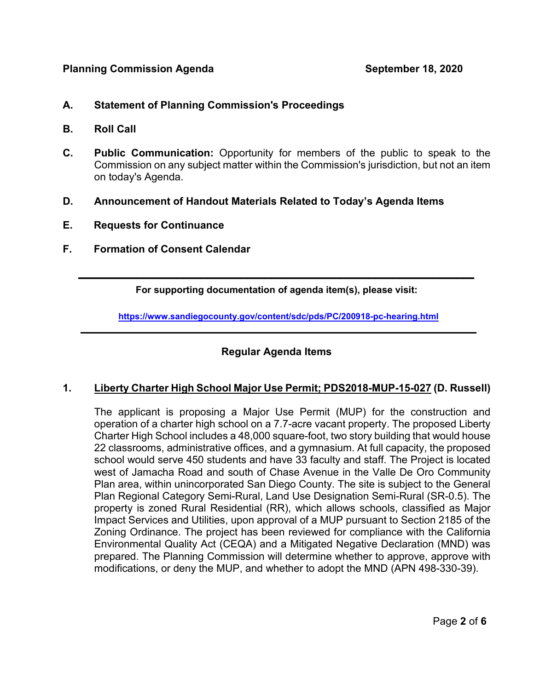- **A. Statement of Planning Commission's Proceedings**
- **B. Roll Call**
- **C. Public Communication:** Opportunity for members of the public to speak to the Commission on any subject matter within the Commission's jurisdiction, but not an item on today's Agenda.
- **D. Announcement of Handout Materials Related to Today's Agenda Items**
- **E. Requests for Continuance**
- **F. Formation of Consent Calendar**

 $\overline{\phantom{a}}$  , and the contribution of the contribution of the contribution of the contribution of the contribution of the contribution of the contribution of the contribution of the contribution of the contribution of the **For supporting documentation of agenda item(s), please visit:**

**https://www.sandiegocounty.gov/content/sdc/pds/PC/200918-pc-hearing.html**  $\overline{a}$  , and the contribution of the contribution of the contribution of the contribution of the contribution of the contribution of the contribution of the contribution of the contribution of the contribution of the co

## **Regular Agenda Items**

## **1. Liberty Charter High School Major Use Permit; PDS2018-MUP-15-027 (D. Russell)**

The applicant is proposing a Major Use Permit (MUP) for the construction and operation of a charter high school on a 7.7-acre vacant property. The proposed Liberty Charter High School includes a 48,000 square-foot, two story building that would house 22 classrooms, administrative offices, and a gymnasium. At full capacity, the proposed school would serve 450 students and have 33 faculty and staff. The Project is located west of Jamacha Road and south of Chase Avenue in the Valle De Oro Community Plan area, within unincorporated San Diego County. The site is subject to the General Plan Regional Category Semi-Rural, Land Use Designation Semi-Rural (SR-0.5). The property is zoned Rural Residential (RR), which allows schools, classified as Major Impact Services and Utilities, upon approval of a MUP pursuant to Section 2185 of the Zoning Ordinance. The project has been reviewed for compliance with the California Environmental Quality Act (CEQA) and a Mitigated Negative Declaration (MND) was prepared. The Planning Commission will determine whether to approve, approve with modifications, or deny the MUP, and whether to adopt the MND (APN 498-330-39).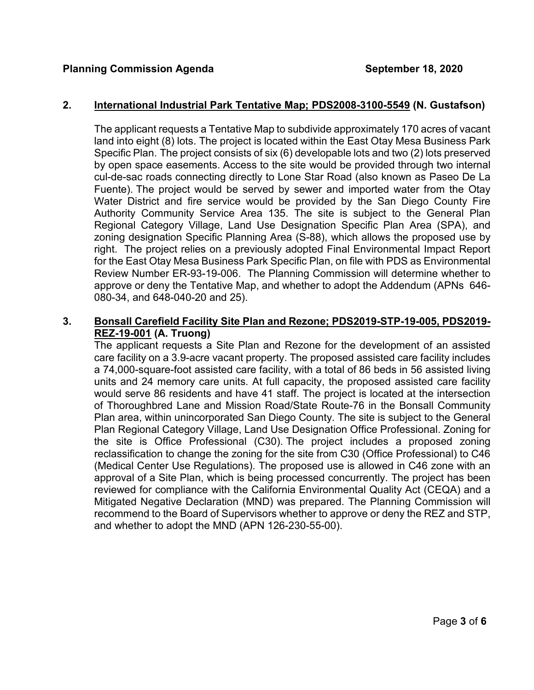#### **2. International Industrial Park Tentative Map; PDS2008-3100-5549 (N. Gustafson)**

The applicant requests a Tentative Map to subdivide approximately 170 acres of vacant land into eight (8) lots. The project is located within the East Otay Mesa Business Park Specific Plan. The project consists of six (6) developable lots and two (2) lots preserved by open space easements. Access to the site would be provided through two internal cul-de-sac roads connecting directly to Lone Star Road (also known as Paseo De La Fuente). The project would be served by sewer and imported water from the Otay Water District and fire service would be provided by the San Diego County Fire Authority Community Service Area 135. The site is subject to the General Plan Regional Category Village, Land Use Designation Specific Plan Area (SPA), and zoning designation Specific Planning Area (S-88), which allows the proposed use by right. The project relies on a previously adopted Final Environmental Impact Report for the East Otay Mesa Business Park Specific Plan, on file with PDS as Environmental Review Number ER-93-19-006. The Planning Commission will determine whether to approve or deny the Tentative Map, and whether to adopt the Addendum (APNs 646- 080-34, and 648-040-20 and 25).

## **3. Bonsall Carefield Facility Site Plan and Rezone; PDS2019-STP-19-005, PDS2019- REZ-19-001 (A. Truong)**

The applicant requests a Site Plan and Rezone for the development of an assisted care facility on a 3.9-acre vacant property. The proposed assisted care facility includes a 74,000-square-foot assisted care facility, with a total of 86 beds in 56 assisted living units and 24 memory care units. At full capacity, the proposed assisted care facility would serve 86 residents and have 41 staff. The project is located at the intersection of Thoroughbred Lane and Mission Road/State Route-76 in the Bonsall Community Plan area, within unincorporated San Diego County. The site is subject to the General Plan Regional Category Village, Land Use Designation Office Professional. Zoning for the site is Office Professional (C30). The project includes a proposed zoning reclassification to change the zoning for the site from C30 (Office Professional) to C46 (Medical Center Use Regulations). The proposed use is allowed in C46 zone with an approval of a Site Plan, which is being processed concurrently. The project has been reviewed for compliance with the California Environmental Quality Act (CEQA) and a Mitigated Negative Declaration (MND) was prepared. The Planning Commission will recommend to the Board of Supervisors whether to approve or deny the REZ and STP, and whether to adopt the MND (APN 126-230-55-00).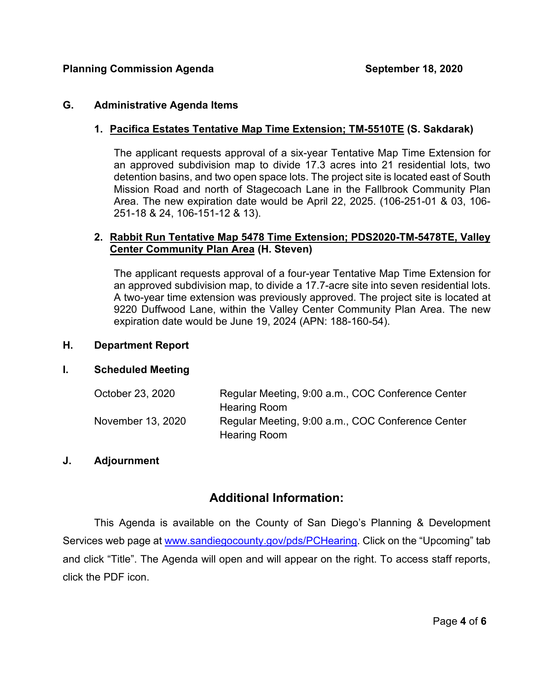#### **G. Administrative Agenda Items**

### **1. Pacifica Estates Tentative Map Time Extension; TM-5510TE (S. Sakdarak)**

The applicant requests approval of a six-year Tentative Map Time Extension for an approved subdivision map to divide 17.3 acres into 21 residential lots, two detention basins, and two open space lots. The project site is located east of South Mission Road and north of Stagecoach Lane in the Fallbrook Community Plan Area. The new expiration date would be April 22, 2025. (106-251-01 & 03, 106- 251-18 & 24, 106-151-12 & 13).

#### **2. Rabbit Run Tentative Map 5478 Time Extension; PDS2020-TM-5478TE, Valley Center Community Plan Area (H. Steven)**

The applicant requests approval of a four-year Tentative Map Time Extension for an approved subdivision map, to divide a 17.7-acre site into seven residential lots. A two-year time extension was previously approved. The project site is located at 9220 Duffwood Lane, within the Valley Center Community Plan Area. The new expiration date would be June 19, 2024 (APN: 188-160-54).

#### **H. Department Report**

#### **I. Scheduled Meeting**

| October 23, 2020  | Regular Meeting, 9:00 a.m., COC Conference Center |
|-------------------|---------------------------------------------------|
|                   | <b>Hearing Room</b>                               |
| November 13, 2020 | Regular Meeting, 9:00 a.m., COC Conference Center |
|                   | <b>Hearing Room</b>                               |

#### **J. Adjournment**

## **Additional Information:**

This Agenda is available on the County of San Diego's Planning & Development Services web page at [www.sandiegocounty.gov/pds/PCHearing.](http://www.sandiegocounty.gov/pds/PCHearing) Click on the "Upcoming" tab and click "Title". The Agenda will open and will appear on the right. To access staff reports, click the PDF icon.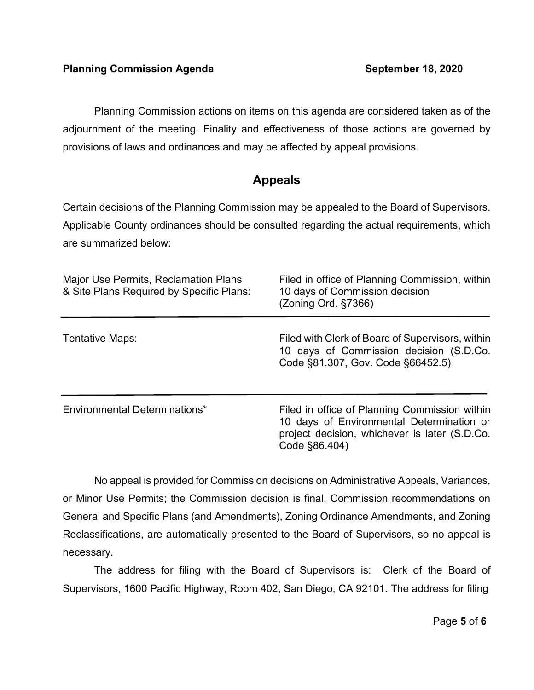Planning Commission actions on items on this agenda are considered taken as of the adjournment of the meeting. Finality and effectiveness of those actions are governed by provisions of laws and ordinances and may be affected by appeal provisions.

# **Appeals**

Certain decisions of the Planning Commission may be appealed to the Board of Supervisors. Applicable County ordinances should be consulted regarding the actual requirements, which are summarized below:

| <b>Major Use Permits, Reclamation Plans</b><br>& Site Plans Required by Specific Plans: | Filed in office of Planning Commission, within<br>10 days of Commission decision<br>(Zoning Ord. §7366)                                                      |
|-----------------------------------------------------------------------------------------|--------------------------------------------------------------------------------------------------------------------------------------------------------------|
| Tentative Maps:                                                                         | Filed with Clerk of Board of Supervisors, within<br>10 days of Commission decision (S.D.Co.<br>Code §81.307, Gov. Code §66452.5)                             |
| Environmental Determinations*                                                           | Filed in office of Planning Commission within<br>10 days of Environmental Determination or<br>project decision, whichever is later (S.D.Co.<br>Code §86.404) |

No appeal is provided for Commission decisions on Administrative Appeals, Variances, or Minor Use Permits; the Commission decision is final. Commission recommendations on General and Specific Plans (and Amendments), Zoning Ordinance Amendments, and Zoning Reclassifications, are automatically presented to the Board of Supervisors, so no appeal is necessary.

The address for filing with the Board of Supervisors is: Clerk of the Board of Supervisors, 1600 Pacific Highway, Room 402, San Diego, CA 92101. The address for filing